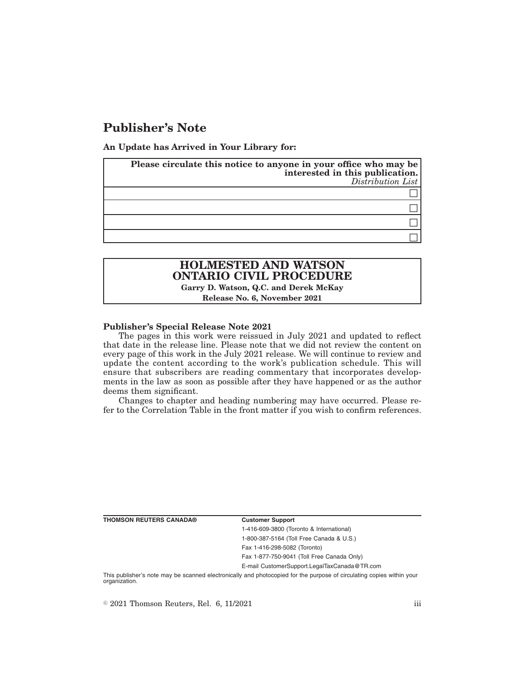# **Publisher's Note**

**An Update has Arrived in Your Library for:**

| Please circulate this notice to anyone in your office who may be<br>interested in this publication.<br>Distribution List |
|--------------------------------------------------------------------------------------------------------------------------|
|                                                                                                                          |
|                                                                                                                          |
|                                                                                                                          |
|                                                                                                                          |

# **HOLMESTED AND WATSON ONTARIO CIVIL PROCEDURE**

**Garry D. Watson, Q.C. and Derek McKay Release No. 6, November 2021**

## **Publisher's Special Release Note 2021**

The pages in this work were reissued in July 2021 and updated to reflect that date in the release line. Please note that we did not review the content on every page of this work in the July 2021 release. We will continue to review and update the content according to the work's publication schedule. This will ensure that subscribers are reading commentary that incorporates developments in the law as soon as possible after they have happened or as the author deems them significant.

Changes to chapter and heading numbering may have occurred. Please refer to the Correlation Table in the front matter if you wish to confirm references.

**THOMSON REUTERS CANADA® Customer Support**

1-416-609-3800 (Toronto & International) 1-800-387-5164 (Toll Free Canada & U.S.) Fax 1-416-298-5082 (Toronto)

Fax 1-877-750-9041 (Toll Free Canada Only)

E-mail CustomerSupport.LegalTaxCanada@TR.com

This publisher's note may be scanned electronically and photocopied for the purpose of circulating copies within your organization.

 $\degree$  2021 Thomson Reuters, Rel. 6, 11/2021 iii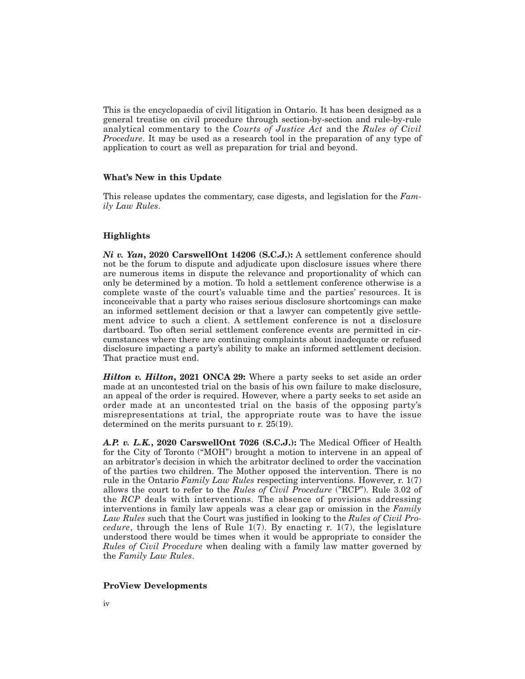This is the encyclopaedia of civil litigation in Ontario. It has been designed as a general treatise on civil procedure through section-by-section and rule-by-rule analytical commentary to the *Courts of Justice Act* and the *Rules of Civil Procedure*. It may be used as a research tool in the preparation of any type of application to court as well as preparation for trial and beyond.

### **What's New in this Update**

This release updates the commentary, case digests, and legislation for the *Family Law Rules*.

## **Highlights**

*Ni v. Yan***, 2020 CarswellOnt 14206 (S.C.J.):** A settlement conference should not be the forum to dispute and adjudicate upon disclosure issues where there are numerous items in dispute the relevance and proportionality of which can only be determined by a motion. To hold a settlement conference otherwise is a complete waste of the court's valuable time and the parties' resources. It is inconceivable that a party who raises serious disclosure shortcomings can make an informed settlement decision or that a lawyer can competently give settlement advice to such a client. A settlement conference is not a disclosure dartboard. Too often serial settlement conference events are permitted in circumstances where there are continuing complaints about inadequate or refused disclosure impacting a party's ability to make an informed settlement decision. That practice must end.

*Hilton v. Hilton***, 2021 ONCA 29:** Where a party seeks to set aside an order made at an uncontested trial on the basis of his own failure to make disclosure, an appeal of the order is required. However, where a party seeks to set aside an order made at an uncontested trial on the basis of the opposing party's misrepresentations at trial, the appropriate route was to have the issue determined on the merits pursuant to r. 25(19).

*A.P. v. L.K.***, 2020 CarswellOnt 7026 (S.C.J.):** The Medical Officer of Health for the City of Toronto (''MOH'') brought a motion to intervene in an appeal of an arbitrator's decision in which the arbitrator declined to order the vaccination of the parties two children. The Mother opposed the intervention. There is no rule in the Ontario *Family Law Rules* respecting interventions. However, r. 1(7) allows the court to refer to the *Rules of Civil Procedure* ("RCP"). Rule 3.02 of the *RCP* deals with interventions. The absence of provisions addressing interventions in family law appeals was a clear gap or omission in the *Family Law Rules* such that the Court was justified in looking to the *Rules of Civil Procedure*, through the lens of Rule 1(7). By enacting r. 1(7), the legislature understood there would be times when it would be appropriate to consider the *Rules of Civil Procedure* when dealing with a family law matter governed by the *Family Law Rules*.

### **ProView Developments**